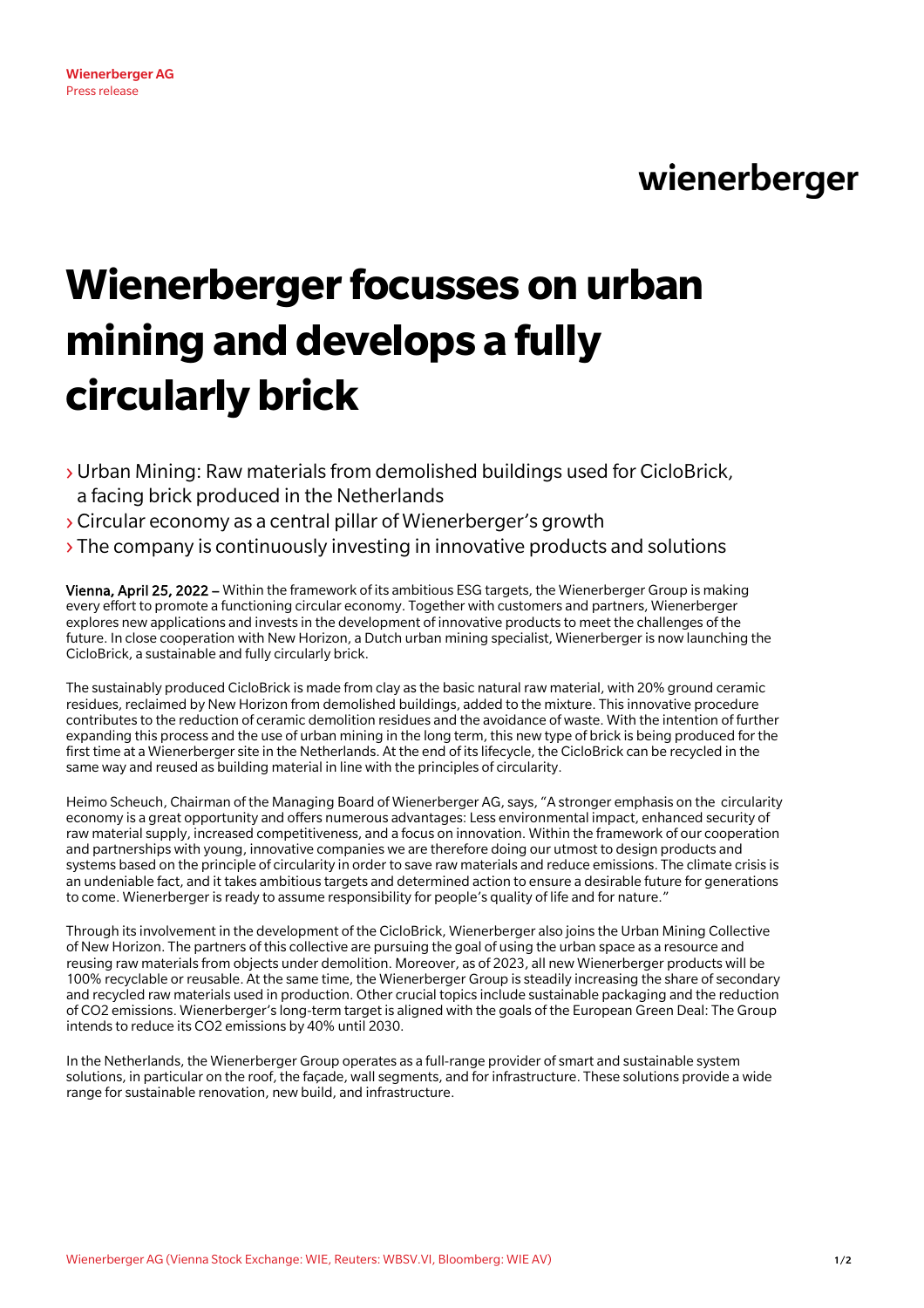## wienerberger

# **Wienerberger focusses on urban mining and develops a fully circularlybrick**

- ›Urban Mining: Raw materials from demolished buildings used for CicloBrick, a facing brick produced in the Netherlands
- ›Circular economy as a central pillar of Wienerberger's growth
- $\rightarrow$  The company is continuously investing in innovative products and solutions

Vienna, April 25, 2022 – Within the framework of its ambitious ESG targets, the Wienerberger Group is making every effort to promote a functioning circular economy. Together with customers and partners, Wienerberger explores new applications and invests in the development of innovative products to meet the challenges of the future. In close cooperation with New Horizon, a Dutch urban mining specialist, Wienerberger is now launching the CicloBrick, a sustainable and fully circularly brick.

The sustainably produced CicloBrick is made from clay as the basic natural raw material, with 20% ground ceramic residues, reclaimed by New Horizon from demolished buildings, added to the mixture. This innovative procedure contributes to the reduction of ceramic demolition residues and the avoidance of waste. With the intention of further expanding this process and the use of urban mining in the long term, this new type of brick is being produced for the first time at a Wienerberger site in the Netherlands. At the end of its lifecycle, the CicloBrick can be recycled in the same way and reused as building material in line with the principles of circularity.

Heimo Scheuch, Chairman of the Managing Board of Wienerberger AG, says, "A stronger emphasis on the circularity economy is a great opportunity and offers numerous advantages: Less environmental impact, enhanced security of raw material supply, increased competitiveness, and a focus on innovation. Within the framework of our cooperation and partnerships with young, innovative companies we are therefore doing our utmost to design products and systems based on the principle of circularity in order to save raw materials and reduce emissions. The climate crisis is an undeniable fact, and it takes ambitious targets and determined action to ensure a desirable future for generations to come. Wienerberger is ready to assume responsibility for people's quality of life and for nature."

Through its involvement in the development of the CicloBrick, Wienerberger also joins the Urban Mining Collective of New Horizon. The partners of this collective are pursuing the goal of using the urban space as a resource and reusing raw materials from objects under demolition. Moreover, as of 2023, all new Wienerberger products will be 100% recyclable or reusable. At the same time, the Wienerberger Group is steadily increasing the share of secondary and recycled raw materials used in production. Other crucial topics include sustainable packaging and the reduction of CO2 emissions. Wienerberger's long-term target is aligned with the goals of the European Green Deal: The Group intends to reduce its CO2 emissions by 40% until 2030.

In the Netherlands, the Wienerberger Group operates as a full-range provider of smart and sustainable system solutions, in particular on the roof, the façade, wall segments, and for infrastructure. These solutions provide a wide range for sustainable renovation, new build, and infrastructure.